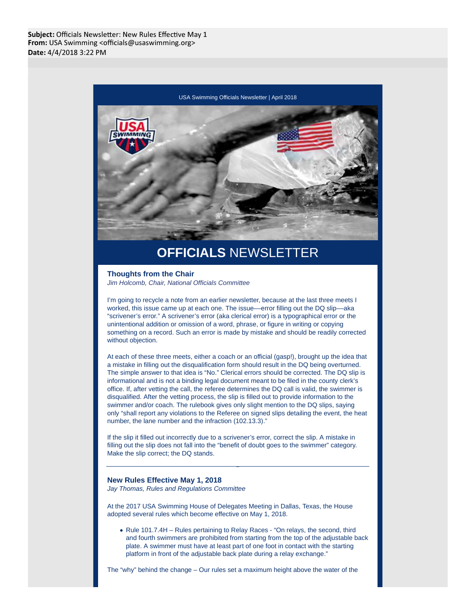

## **OFFICIALS** NEWSLETTER

# **Thoughts from the Chair**

Jim Holcomb, Chair, National Officials Committee

I'm going to recycle a note from an earlier newsletter, because at the last three meets I worked, this issue came up at each one. The issue––error filling out the DQ slip––aka "scrivener's error." A scrivener's error (aka clerical error) is a typographical error or the unintentional addition or omission of a word, phrase, or figure in writing or copying something on a record. Such an error is made by mistake and should be readily corrected without objection.

At each of these three meets, either a coach or an official (gasp!), brought up the idea that a mistake in filling out the disqualification form should result in the DQ being overturned. The simple answer to that idea is "No." Clerical errors should be corrected. The DQ slip is informational and is not a binding legal document meant to be filed in the county clerk's office. If, after vetting the call, the referee determines the DQ call is valid, the swimmer is disqualified. After the vetting process, the slip is filled out to provide information to the swimmer and/or coach. The rulebook gives only slight mention to the DQ slips, saying only "shall report any violations to the Referee on signed slips detailing the event, the heat number, the lane number and the infraction (102.13.3)."

If the slip it filled out incorrectly due to a scrivener's error, correct the slip. A mistake in filling out the slip does not fall into the "benefit of doubt goes to the swimmer" category. Make the slip correct; the DQ stands.

#### **New Rules Effective May 1, 2018**

Jay Thomas, Rules and Regulations Committee

At the 2017 USA Swimming House of Delegates Meeting in Dallas, Texas, the House adopted several rules which become effective on May 1, 2018.

• Rule 101.7.4H – Rules pertaining to Relay Races - "On relays, the second, third and fourth swimmers are prohibited from starting from the top of the adjustable back plate. A swimmer must have at least part of one foot in contact with the starting platform in front of the adjustable back plate during a relay exchange."

The "why" behind the change – Our rules set a maximum height above the water of the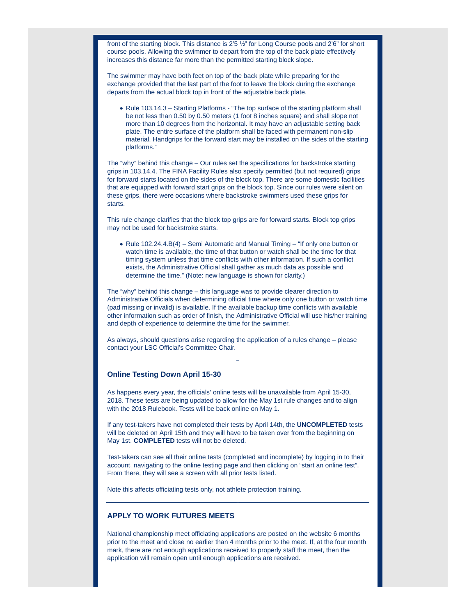front of the starting block. This distance is 2'5 ½" for Long Course pools and 2'6" for short course pools. Allowing the swimmer to depart from the top of the back plate effectively increases this distance far more than the permitted starting block slope.

The swimmer may have both feet on top of the back plate while preparing for the exchange provided that the last part of the foot to leave the block during the exchange departs from the actual block top in front of the adjustable back plate.

• Rule 103.14.3 – Starting Platforms - "The top surface of the starting platform shall be not less than 0.50 by 0.50 meters (1 foot 8 inches square) and shall slope not more than 10 degrees from the horizontal. It may have an adjustable setting back plate. The entire surface of the platform shall be faced with permanent non-slip material. Handgrips for the forward start may be installed on the sides of the starting platforms."

The "why" behind this change – Our rules set the specifications for backstroke starting grips in 103.14.4. The FINA Facility Rules also specify permitted (but not required) grips for forward starts located on the sides of the block top. There are some domestic facilities that are equipped with forward start grips on the block top. Since our rules were silent on these grips, there were occasions where backstroke swimmers used these grips for starts.

This rule change clarifies that the block top grips are for forward starts. Block top grips may not be used for backstroke starts.

• Rule 102.24.4.B(4) – Semi Automatic and Manual Timing – "If only one button or watch time is available, the time of that button or watch shall be the time for that timing system unless that time conflicts with other information. If such a conflict exists, the Administrative Official shall gather as much data as possible and determine the time." (Note: new language is shown for clarity.)

The "why" behind this change – this language was to provide clearer direction to Administrative Officials when determining official time where only one button or watch time (pad missing or invalid) is available. If the available backup time conflicts with available other information such as order of finish, the Administrative Official will use his/her training and depth of experience to determine the time for the swimmer.

As always, should questions arise regarding the application of a rules change – please contact your LSC Official's Committee Chair.

#### **Online Testing Down April 15-30**

As happens every year, the officials' online tests will be unavailable from April 15-30, 2018. These tests are being updated to allow for the May 1st rule changes and to align with the 2018 Rulebook. Tests will be back online on May 1.

If any test-takers have not completed their tests by April 14th, the **UNCOMPLETED** tests will be deleted on April 15th and they will have to be taken over from the beginning on May 1st. **COMPLETED** tests will not be deleted.

Test-takers can see all their online tests (completed and incomplete) by logging in to their account, navigating to the online testing page and then clicking on "start an online test". From there, they will see a screen with all prior tests listed.

Note this affects officiating tests only, not athlete protection training.

### **APPLY TO WORK FUTURES MEETS**

National championship meet officiating applications are posted on the website 6 months prior to the meet and close no earlier than 4 months prior to the meet. If, at the four month mark, there are not enough applications received to properly staff the meet, then the application will remain open until enough applications are received.